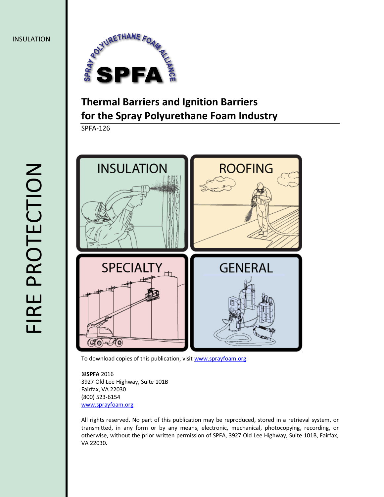

# **Thermal Barriers and Ignition Barriers for the Spray Polyurethane Foam Industry**

SPFA-126



To download copies of this publication, visi[t www.sprayfoam.org.](file:///C:/Users/Kim%20Lincoln/Desktop/SPFA/SPFA1501SFMTM/04_Formatting/Batch%202/www.sprayfoam.org)

**©SPFA** 2016 3927 Old Lee Highway, Suite 101B Fairfax, VA 22030 (800) 523-6154 [www.sprayfoam.org](http://www.sprayfoam.org/)

All rights reserved. No part of this publication may be reproduced, stored in a retrieval system, or transmitted, in any form or by any means, electronic, mechanical, photocopying, recording, or otherwise, without the prior written permission of SPFA, 3927 Old Lee Highway, Suite 101B, Fairfax, VA 22030.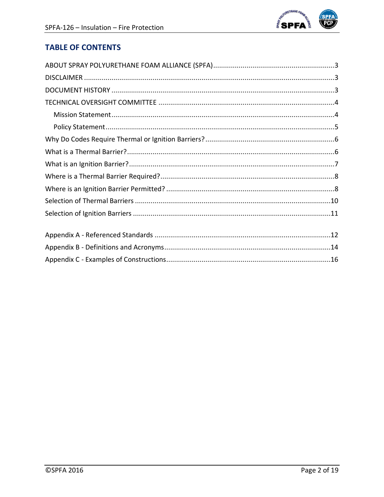

# **TABLE OF CONTENTS**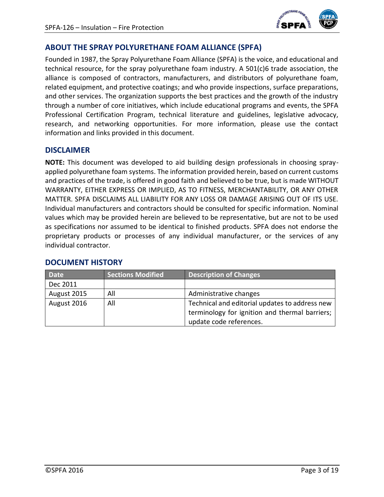

### <span id="page-2-0"></span>**ABOUT THE SPRAY POLYURETHANE FOAM ALLIANCE (SPFA)**

Founded in 1987, the Spray Polyurethane Foam Alliance (SPFA) is the voice, and educational and technical resource, for the spray polyurethane foam industry. A 501(c)6 trade association, the alliance is composed of contractors, manufacturers, and distributors of polyurethane foam, related equipment, and protective coatings; and who provide inspections, surface preparations, and other services. The organization supports the best practices and the growth of the industry through a number of core initiatives, which include educational programs and events, the SPFA Professional Certification Program, technical literature and guidelines, legislative advocacy, research, and networking opportunities. For more information, please use the contact information and links provided in this document.

#### <span id="page-2-1"></span>**DISCLAIMER**

**NOTE:** This document was developed to aid building design professionals in choosing sprayapplied polyurethane foam systems. The information provided herein, based on current customs and practices of the trade, is offered in good faith and believed to be true, but is made WITHOUT WARRANTY, EITHER EXPRESS OR IMPLIED, AS TO FITNESS, MERCHANTABILITY, OR ANY OTHER MATTER. SPFA DISCLAIMS ALL LIABILITY FOR ANY LOSS OR DAMAGE ARISING OUT OF ITS USE. Individual manufacturers and contractors should be consulted for specific information. Nominal values which may be provided herein are believed to be representative, but are not to be used as specifications nor assumed to be identical to finished products. SPFA does not endorse the proprietary products or processes of any individual manufacturer, or the services of any individual contractor.

| <b>Date</b> | <b>Sections Modified</b> | <b>Description of Changes</b>                  |  |
|-------------|--------------------------|------------------------------------------------|--|
| Dec 2011    |                          |                                                |  |
| August 2015 | All                      | Administrative changes                         |  |
| August 2016 | All                      | Technical and editorial updates to address new |  |
|             |                          | terminology for ignition and thermal barriers; |  |
|             |                          | update code references.                        |  |

### <span id="page-2-2"></span>**DOCUMENT HISTORY**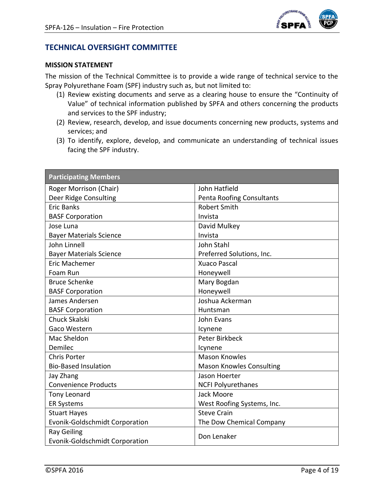

### <span id="page-3-0"></span>**TECHNICAL OVERSIGHT COMMITTEE**

#### **MISSION STATEMENT**

The mission of the Technical Committee is to provide a wide range of technical service to the Spray Polyurethane Foam (SPF) industry such as, but not limited to:

- (1) Review existing documents and serve as a clearing house to ensure the "Continuity of Value" of technical information published by SPFA and others concerning the products and services to the SPF industry;
- (2) Review, research, develop, and issue documents concerning new products, systems and services; and
- (3) To identify, explore, develop, and communicate an understanding of technical issues facing the SPF industry.

| <b>Participating Members</b>                                |                                 |  |  |
|-------------------------------------------------------------|---------------------------------|--|--|
| Roger Morrison (Chair)                                      | John Hatfield                   |  |  |
| Deer Ridge Consulting                                       | Penta Roofing Consultants       |  |  |
| <b>Eric Banks</b>                                           | <b>Robert Smith</b>             |  |  |
| <b>BASF Corporation</b>                                     | Invista                         |  |  |
| Jose Luna                                                   | David Mulkey                    |  |  |
| <b>Bayer Materials Science</b>                              | Invista                         |  |  |
| John Linnell                                                | John Stahl                      |  |  |
| <b>Bayer Materials Science</b>                              | Preferred Solutions, Inc.       |  |  |
| Eric Machemer                                               | <b>Xuaco Pascal</b>             |  |  |
| Foam Run                                                    | Honeywell                       |  |  |
| <b>Bruce Schenke</b>                                        | Mary Bogdan                     |  |  |
| <b>BASF Corporation</b>                                     | Honeywell                       |  |  |
| James Andersen                                              | Joshua Ackerman                 |  |  |
| <b>BASF Corporation</b>                                     | Huntsman                        |  |  |
| <b>Chuck Skalski</b>                                        | John Evans                      |  |  |
| Gaco Western                                                | Icynene                         |  |  |
| Mac Sheldon                                                 | <b>Peter Birkbeck</b>           |  |  |
| Demilec                                                     | Icynene                         |  |  |
| <b>Chris Porter</b>                                         | <b>Mason Knowles</b>            |  |  |
| <b>Bio-Based Insulation</b>                                 | <b>Mason Knowles Consulting</b> |  |  |
| Jay Zhang                                                   | Jason Hoerter                   |  |  |
| <b>Convenience Products</b>                                 | <b>NCFI Polyurethanes</b>       |  |  |
| <b>Tony Leonard</b>                                         | Jack Moore                      |  |  |
| <b>ER Systems</b>                                           | West Roofing Systems, Inc.      |  |  |
| <b>Stuart Hayes</b>                                         | <b>Steve Crain</b>              |  |  |
| <b>Evonik-Goldschmidt Corporation</b>                       | The Dow Chemical Company        |  |  |
| <b>Ray Geiling</b><br><b>Evonik-Goldschmidt Corporation</b> | Don Lenaker                     |  |  |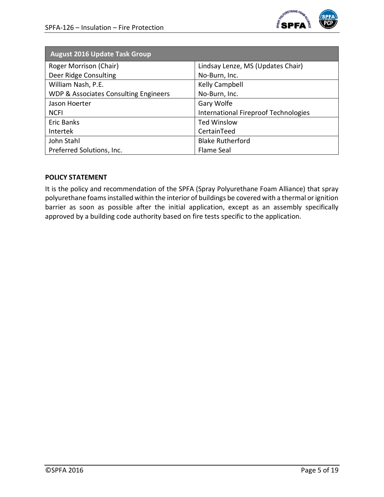

| <b>August 2016 Update Task Group</b>             |                                             |
|--------------------------------------------------|---------------------------------------------|
| Roger Morrison (Chair)                           | Lindsay Lenze, MS (Updates Chair)           |
| Deer Ridge Consulting                            | No-Burn, Inc.                               |
| William Nash, P.E.                               | Kelly Campbell                              |
| <b>WDP &amp; Associates Consulting Engineers</b> | No-Burn, Inc.                               |
| Jason Hoerter                                    | Gary Wolfe                                  |
| <b>NCFI</b>                                      | <b>International Fireproof Technologies</b> |
| Eric Banks                                       | <b>Ted Winslow</b>                          |
| Intertek                                         | CertainTeed                                 |
| John Stahl                                       | <b>Blake Rutherford</b>                     |
| Preferred Solutions, Inc.                        | Flame Seal                                  |

#### <span id="page-4-0"></span>**POLICY STATEMENT**

It is the policy and recommendation of the SPFA (Spray Polyurethane Foam Alliance) that spray polyurethane foams installed within the interior of buildings be covered with a thermal or ignition barrier as soon as possible after the initial application, except as an assembly specifically approved by a building code authority based on fire tests specific to the application.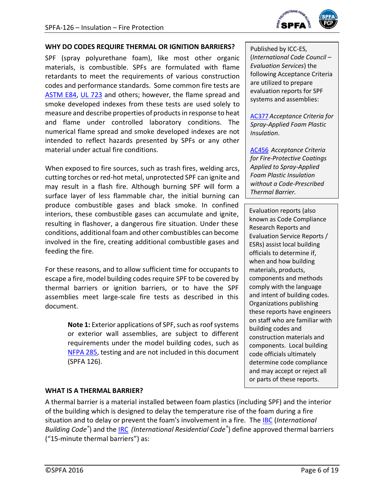

#### <span id="page-5-0"></span>**WHY DO CODES REQUIRE THERMAL OR IGNITION BARRIERS?**

SPF (spray polyurethane foam), like most other organic materials, is combustible. SPFs are formulated with flame retardants to meet the requirements of various construction codes and performance standards. Some common fire tests are [ASTM E84,](#page-12-0) UL [723](#page-12-1) and others; however, the flame spread and smoke developed indexes from these tests are used solely to measure and describe properties of products in response to heat and flame under controlled laboratory conditions. The numerical flame spread and smoke developed indexes are not intended to reflect hazards presented by SPFs or any other material under actual fire conditions.

When exposed to fire sources, such as trash fires, welding arcs, cutting torches or red-hot metal, unprotected SPF can ignite and may result in a flash fire. Although burning SPF will form a surface layer of less flammable char, the initial burning can produce combustible gases and black smoke. In confined interiors, these combustible gases can accumulate and ignite, resulting in flashover, a dangerous fire situation. Under these conditions, additional foam and other combustibles can become involved in the fire, creating additional combustible gases and feeding the fire.

For these reasons, and to allow sufficient time for occupants to escape a fire, model building codes require SPF to be covered by thermal barriers or ignition barriers, or to have the SPF assemblies meet large-scale fire tests as described in this document.

> **Note 1:** Exterior applications of SPF, such as roof systems or exterior wall assemblies, are subject to different requirements under the model building codes, such as [NFPA 285,](#page-12-2) testing and are not included in this document (SPFA 126).

Published by ICC-ES, (*International Code Council – Evaluation Services*) the following Acceptance Criteria are utilized to prepare evaluation reports for SPF systems and assemblies:

[AC377](#page-12-5) *Acceptance Criteria for Spray-Applied Foam Plastic Insulation*.

[AC456](#page-12-6) *Acceptance Criteria for Fire-Protective Coatings Applied to Spray-Applied Foam Plastic Insulation without a Code-Prescribed Thermal Barrier.*

Evaluation reports (also known as Code Compliance Research Reports and Evaluation Service Reports / ESRs) assist local building officials to determine if, when and how building materials, products, components and methods comply with the language and intent of building codes. Organizations publishing these reports have engineers on staff who are familiar with building codes and construction materials and components. Local building code officials ultimately determine code compliance and may accept or reject all or parts of these reports.

#### <span id="page-5-1"></span>**WHAT IS A THERMAL BARRIER?**

A thermal barrier is a material installed between foam plastics (including SPF) and the interior of the building which is designed to delay the temperature rise of the foam during a fire situation and to delay or prevent the foam's involvement in a fire. The [IBC](#page-12-3) (*International Building Code®* ) and the [IRC](#page-12-4) *(International Residential Code®* ) define approved thermal barriers ("15-minute thermal barriers") as: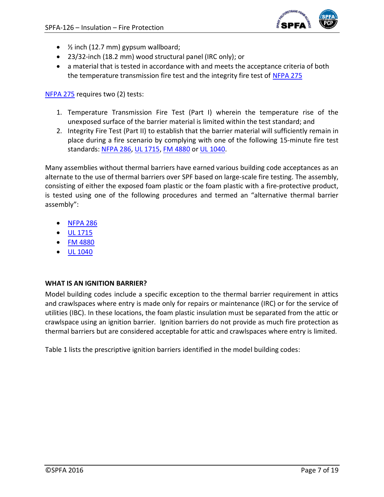

- $\bullet$  % inch (12.7 mm) gypsum wallboard;
- 23/32-inch (18.2 mm) wood structural panel (IRC only); or
- a material that is tested in accordance with and meets the acceptance criteria of both the temperature transmission fire test and the integrity fire test of [NFPA 275](#page-12-7)

[NFPA 275](#page-12-7) requires two (2) tests:

- 1. Temperature Transmission Fire Test (Part I) wherein the temperature rise of the unexposed surface of the barrier material is limited within the test standard; and
- 2. Integrity Fire Test (Part II) to establish that the barrier material will sufficiently remain in place during a fire scenario by complying with one of the following 15-minute fire test standards: [NFPA 286,](#page-12-8) [UL 1715,](#page-12-9) [FM 4880](#page-12-10) or [UL 1040.](#page-12-11)

Many assemblies without thermal barriers have earned various building code acceptances as an alternate to the use of thermal barriers over SPF based on large-scale fire testing. The assembly, consisting of either the exposed foam plastic or the foam plastic with a fire-protective product, is tested using one of the following procedures and termed an "alternative thermal barrier assembly":

- [NFPA 286](#page-12-8)
- [UL 1715](#page-12-9)
- [FM 4880](#page-12-10)
- [UL 1040](#page-12-11)

#### <span id="page-6-0"></span>**WHAT IS AN IGNITION BARRIER?**

Model building codes include a specific exception to the thermal barrier requirement in attics and crawlspaces where entry is made only for repairs or maintenance (IRC) or for the service of utilities (IBC). In these locations, the foam plastic insulation must be separated from the attic or crawlspace using an ignition barrier. Ignition barriers do not provide as much fire protection as thermal barriers but are considered acceptable for attic and crawlspaces where entry is limited.

Table 1 lists the prescriptive ignition barriers identified in the model building codes: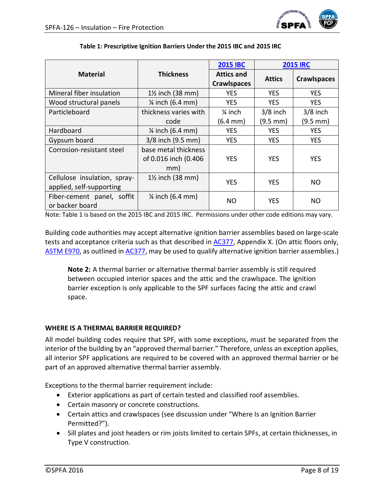

|                                                          |                                                     | <b>2015 IBC</b>                         | <b>2015 IRC</b>      |                    |
|----------------------------------------------------------|-----------------------------------------------------|-----------------------------------------|----------------------|--------------------|
| <b>Material</b>                                          | <b>Thickness</b>                                    | <b>Attics and</b><br><b>Crawlspaces</b> | <b>Attics</b>        | <b>Crawlspaces</b> |
| Mineral fiber insulation                                 | $1\frac{1}{2}$ inch (38 mm)                         | <b>YES</b>                              | <b>YES</b>           | <b>YES</b>         |
| Wood structural panels                                   | $\frac{1}{4}$ inch (6.4 mm)                         | <b>YES</b>                              | <b>YES</b>           | <b>YES</b>         |
| Particleboard                                            | thickness varies with                               | $\frac{1}{4}$ inch                      | $3/8$ inch           | $3/8$ inch         |
|                                                          | code                                                | $(6.4 \, \text{mm})$                    | $(9.5 \, \text{mm})$ | (9.5 mm)           |
| Hardboard                                                | $\frac{1}{4}$ inch (6.4 mm)                         | <b>YES</b>                              | <b>YES</b>           | <b>YES</b>         |
| Gypsum board                                             | 3/8 inch (9.5 mm)                                   | <b>YES</b>                              | <b>YES</b>           | <b>YES</b>         |
| Corrosion-resistant steel                                | base metal thickness<br>of 0.016 inch (0.406<br>mm) | <b>YES</b>                              | <b>YES</b>           | <b>YES</b>         |
| Cellulose insulation, spray-<br>applied, self-supporting | $1\frac{1}{2}$ inch (38 mm)                         | <b>YES</b>                              | <b>YES</b>           | <b>NO</b>          |
| Fiber-cement panel, soffit<br>or backer board            | $\frac{1}{4}$ inch (6.4 mm)                         | NO.                                     | <b>YES</b>           | NO.                |

#### **Table 1: Prescriptive Ignition Barriers Under the 2015 IBC and 2015 IRC**

Note: Table 1 is based on the 2015 IBC and 2015 IRC. Permissions under other code editions may vary.

Building code authorities may accept alternative ignition barrier assemblies based on large-scale tests and acceptance criteria such as that described in [AC377,](#page-12-5) Appendix X. (On attic floors only, [ASTM E970,](#page-12-12) as outlined in [AC377,](#page-12-5) may be used to qualify alternative ignition barrier assemblies.)

**Note 2:** A thermal barrier or alternative thermal barrier assembly is still required between occupied interior spaces and the attic and the crawlspace. The ignition barrier exception is only applicable to the SPF surfaces facing the attic and crawl space.

#### <span id="page-7-0"></span>**WHERE IS A THERMAL BARRIER REQUIRED?**

All model building codes require that SPF, with some exceptions, must be separated from the interior of the building by an "approved thermal barrier." Therefore, unless an exception applies, all interior SPF applications are required to be covered with an approved thermal barrier or be part of an approved alternative thermal barrier assembly.

Exceptions to the thermal barrier requirement include:

- Exterior applications as part of certain tested and classified roof assemblies.
- Certain masonry or concrete constructions.
- Certain attics and crawlspaces (see discussion under "Where Is an Ignition Barrier Permitted?").
- Sill plates and joist headers or rim joists limited to certain SPFs, at certain thicknesses, in Type V construction.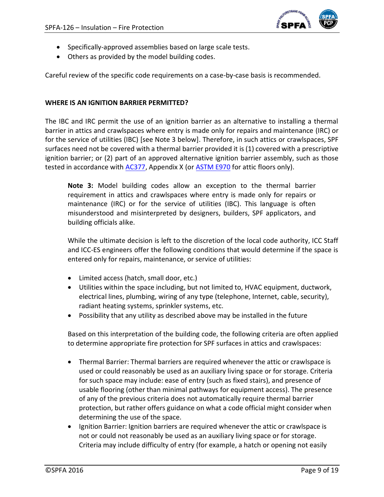

- Specifically-approved assemblies based on large scale tests.
- Others as provided by the model building codes.

Careful review of the specific code requirements on a case-by-case basis is recommended.

#### <span id="page-8-0"></span>**WHERE IS AN IGNITION BARRIER PERMITTED?**

The IBC and IRC permit the use of an ignition barrier as an alternative to installing a thermal barrier in attics and crawlspaces where entry is made only for repairs and maintenance (IRC) or for the service of utilities (IBC) [see Note 3 below]. Therefore, in such attics or crawlspaces, SPF surfaces need not be covered with a thermal barrier provided it is (1) covered with a prescriptive ignition barrier; or (2) part of an approved alternative ignition barrier assembly, such as those tested in accordance with [AC377,](#page-12-5) Appendix X (or [ASTM E970](#page-12-12) for attic floors only).

**Note 3:** Model building codes allow an exception to the thermal barrier requirement in attics and crawlspaces where entry is made only for repairs or maintenance (IRC) or for the service of utilities (IBC). This language is often misunderstood and misinterpreted by designers, builders, SPF applicators, and building officials alike.

While the ultimate decision is left to the discretion of the local code authority, ICC Staff and ICC-ES engineers offer the following conditions that would determine if the space is entered only for repairs, maintenance, or service of utilities:

- Limited access (hatch, small door, etc.)
- Utilities within the space including, but not limited to, HVAC equipment, ductwork, electrical lines, plumbing, wiring of any type (telephone, Internet, cable, security), radiant heating systems, sprinkler systems, etc.
- Possibility that any utility as described above may be installed in the future

Based on this interpretation of the building code, the following criteria are often applied to determine appropriate fire protection for SPF surfaces in attics and crawlspaces:

- Thermal Barrier: Thermal barriers are required whenever the attic or crawlspace is used or could reasonably be used as an auxiliary living space or for storage. Criteria for such space may include: ease of entry (such as fixed stairs), and presence of usable flooring (other than minimal pathways for equipment access). The presence of any of the previous criteria does not automatically require thermal barrier protection, but rather offers guidance on what a code official might consider when determining the use of the space.
- Ignition Barrier: Ignition barriers are required whenever the attic or crawlspace is not or could not reasonably be used as an auxiliary living space or for storage. Criteria may include difficulty of entry (for example, a hatch or opening not easily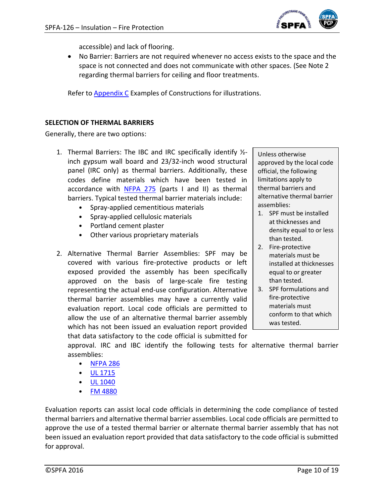

accessible) and lack of flooring.

 No Barrier: Barriers are not required whenever no access exists to the space and the space is not connected and does not communicate with other spaces. (See Note 2 regarding thermal barriers for ceiling and floor treatments.

Refer to [Appendix C](#page-15-0) Examples of Constructions for illustrations.

#### <span id="page-9-0"></span>**SELECTION OF THERMAL BARRIERS**

Generally, there are two options:

- 1. Thermal Barriers: The IBC and IRC specifically identify  $\frac{1}{2}$ inch gypsum wall board and 23/32-inch wood structural panel (IRC only) as thermal barriers. Additionally, these codes define materials which have been tested in accordance with [NFPA 275](#page-12-7) (parts I and II) as thermal barriers. Typical tested thermal barrier materials include:
	- Spray-applied cementitious materials
	- Spray-applied cellulosic materials
	- Portland cement plaster
	- Other various proprietary materials
- 2. Alternative Thermal Barrier Assemblies: SPF may be covered with various fire-protective products or left exposed provided the assembly has been specifically approved on the basis of large-scale fire testing representing the actual end-use configuration. Alternative thermal barrier assemblies may have a currently valid evaluation report. Local code officials are permitted to allow the use of an alternative thermal barrier assembly which has not been issued an evaluation report provided that data satisfactory to the code official is submitted for

Unless otherwise approved by the local code official, the following limitations apply to thermal barriers and alternative thermal barrier assemblies:

- 1. SPF must be installed at thicknesses and density equal to or less than tested.
- 2. Fire-protective materials must be installed at thicknesses equal to or greater than tested.
- 3. SPF formulations and fire-protective materials must conform to that which was tested.

approval. IRC and IBC identify the following tests for alternative thermal barrier assemblies:

- [NFPA 286](#page-12-8)
- [UL 1715](#page-12-9)
- [UL 1040](#page-12-11)
- [FM 4880](#page-12-10)

Evaluation reports can assist local code officials in determining the code compliance of tested thermal barriers and alternative thermal barrier assemblies. Local code officials are permitted to approve the use of a tested thermal barrier or alternate thermal barrier assembly that has not been issued an evaluation report provided that data satisfactory to the code official is submitted for approval.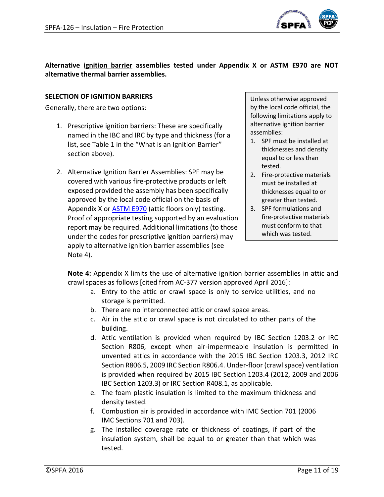

**Alternative ignition barrier assemblies tested under Appendix X or ASTM E970 are NOT alternative thermal barrier assemblies.**

#### <span id="page-10-0"></span>**SELECTION OF IGNITION BARRIERS**

Generally, there are two options:

- 1. Prescriptive ignition barriers: These are specifically named in the IBC and IRC by type and thickness (for a list, see Table 1 in the "What is an Ignition Barrier" section above).
- 2. Alternative Ignition Barrier Assemblies: SPF may be covered with various fire-protective products or left exposed provided the assembly has been specifically approved by the local code official on the basis of Appendix X or **ASTM E970** (attic floors only) testing. Proof of appropriate testing supported by an evaluation report may be required. Additional limitations (to those under the codes for prescriptive ignition barriers) may apply to alternative ignition barrier assemblies (see Note 4).

Unless otherwise approved by the local code official, the following limitations apply to alternative ignition barrier assemblies:

- 1. SPF must be installed at thicknesses and density equal to or less than tested.
- 2. Fire-protective materials must be installed at thicknesses equal to or greater than tested.
- 3. SPF formulations and fire-protective materials must conform to that which was tested.

**Note 4:** Appendix X limits the use of alternative ignition barrier assemblies in attic and crawl spaces as follows [cited from AC-377 version approved April 2016]:

- a. Entry to the attic or crawl space is only to service utilities, and no storage is permitted.
- b. There are no interconnected attic or crawl space areas.
- c. Air in the attic or crawl space is not circulated to other parts of the building.
- d. Attic ventilation is provided when required by IBC Section 1203.2 or IRC Section R806, except when air-impermeable insulation is permitted in unvented attics in accordance with the 2015 IBC Section 1203.3, 2012 IRC Section R806.5, 2009 IRC Section R806.4. Under-floor (crawl space) ventilation is provided when required by 2015 IBC Section 1203.4 (2012, 2009 and 2006 IBC Section 1203.3) or IRC Section R408.1, as applicable.
- e. The foam plastic insulation is limited to the maximum thickness and density tested.
- f. Combustion air is provided in accordance with IMC Section 701 (2006 IMC Sections 701 and 703).
- g. The installed coverage rate or thickness of coatings, if part of the insulation system, shall be equal to or greater than that which was tested.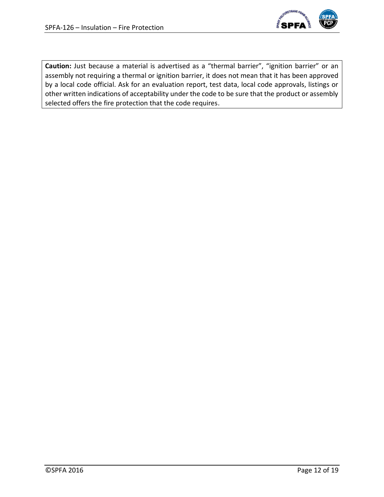

<span id="page-11-0"></span>**Caution:** Just because a material is advertised as a "thermal barrier", "ignition barrier" or an assembly not requiring a thermal or ignition barrier, it does not mean that it has been approved by a local code official. Ask for an evaluation report, test data, local code approvals, listings or other written indications of acceptability under the code to be sure that the product or assembly selected offers the fire protection that the code requires.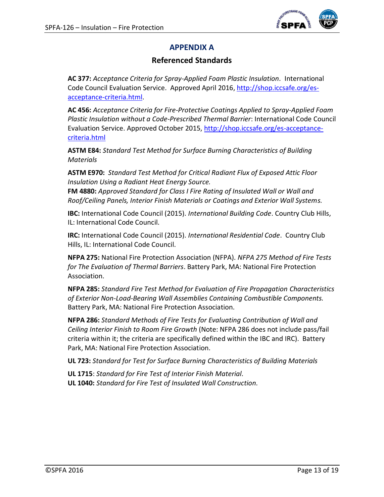

# **APPENDIX A**

### **Referenced Standards**

<span id="page-12-5"></span>**AC 377:** *Acceptance Criteria for Spray-Applied Foam Plastic Insulation.* International Code Council Evaluation Service. Approved April 2016, [http://shop.iccsafe.org/es](http://shop.iccsafe.org/es-acceptance-criteria.html)[acceptance-criteria.html.](http://shop.iccsafe.org/es-acceptance-criteria.html)

<span id="page-12-6"></span>**AC 456:** *Acceptance Criteria for Fire-Protective Coatings Applied to Spray-Applied Foam Plastic Insulation without a Code-Prescribed Thermal Barrier*: International Code Council Evaluation Service. Approved October 2015, [http://shop.iccsafe.org/es-acceptance](http://shop.iccsafe.org/es-acceptance-criteria.html)[criteria.html](http://shop.iccsafe.org/es-acceptance-criteria.html)

<span id="page-12-0"></span>**ASTM E84:** *Standard Test Method for Surface Burning Characteristics of Building Materials*

<span id="page-12-12"></span>**ASTM E970:** *Standard Test Method for Critical Radiant Flux of Exposed Attic Floor Insulation Using a Radiant Heat Energy Source.*

<span id="page-12-10"></span>**FM 4880:** *Approved Standard for Class I Fire Rating of Insulated Wall or Wall and Roof/Ceiling Panels, Interior Finish Materials or Coatings and Exterior Wall Systems.*

<span id="page-12-3"></span>**IBC:** International Code Council (2015). *International Building Code*. Country Club Hills, IL: International Code Council.

<span id="page-12-4"></span>**IRC:** International Code Council (2015). *International Residential Code*. Country Club Hills, IL: International Code Council.

<span id="page-12-7"></span>**NFPA 275:** National Fire Protection Association (NFPA). *NFPA 275 Method of Fire Tests for The Evaluation of Thermal Barriers*. Battery Park, MA: National Fire Protection Association.

<span id="page-12-2"></span>**NFPA 285:** *Standard Fire Test Method for Evaluation of Fire Propagation Characteristics of Exterior Non-Load-Bearing Wall Assemblies Containing Combustible Components.* Battery Park, MA: National Fire Protection Association.

<span id="page-12-8"></span>**NFPA 286:** *Standard Methods of Fire Tests for Evaluating Contribution of Wall and Ceiling Interior Finish to Room Fire Growth* (Note: NFPA 286 does not include pass/fail criteria within it; the criteria are specifically defined within the IBC and IRC). Battery Park, MA: National Fire Protection Association.

<span id="page-12-1"></span>**UL 723:** *Standard for Test for Surface Burning Characteristics of Building Materials*

<span id="page-12-11"></span><span id="page-12-9"></span>**UL 1715**: *Standard for Fire Test of Interior Finish Material.* **UL 1040:** *Standard for Fire Test of Insulated Wall Construction.*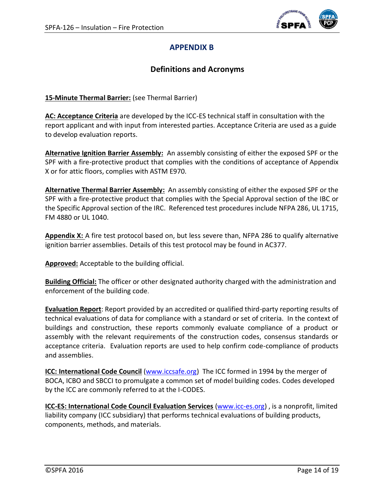

## **APPENDIX B**

### **Definitions and Acronyms**

<span id="page-13-0"></span>**15-Minute Thermal Barrier:** (see Thermal Barrier)

**AC: Acceptance Criteria** are developed by the ICC-ES technical staff in consultation with the report applicant and with input from interested parties. Acceptance Criteria are used as a guide to develop evaluation reports.

**Alternative Ignition Barrier Assembly:** An assembly consisting of either the exposed SPF or the SPF with a fire-protective product that complies with the conditions of acceptance of Appendix X or for attic floors, complies with ASTM E970.

**Alternative Thermal Barrier Assembly:** An assembly consisting of either the exposed SPF or the SPF with a fire-protective product that complies with the Special Approval section of the IBC or the Specific Approval section of the IRC. Referenced test procedures include NFPA 286, UL 1715, FM 4880 or UL 1040.

**Appendix X:** A fire test protocol based on, but less severe than, NFPA 286 to qualify alternative ignition barrier assemblies. Details of this test protocol may be found in AC377.

**Approved:** Acceptable to the building official.

**Building Official:** The officer or other designated authority charged with the administration and enforcement of the building code.

**Evaluation Report**: Report provided by an accredited or qualified third-party reporting results of technical evaluations of data for compliance with a standard or set of criteria. In the context of buildings and construction, these reports commonly evaluate compliance of a product or assembly with the relevant requirements of the construction codes, consensus standards or acceptance criteria. Evaluation reports are used to help confirm code-compliance of products and assemblies.

**ICC: International Code Council** [\(www.iccsafe.org\)](http://www.iccsafe.org/) The ICC formed in 1994 by the merger of BOCA, ICBO and SBCCI to promulgate a common set of model building codes. Codes developed by the ICC are commonly referred to at the I-CODES.

**ICC-ES: International Code Council Evaluation Services** [\(www.icc-es.org\)](http://www.icc-es.org/) , is a nonprofit, limited liability company (ICC subsidiary) that performs technical evaluations of building products, components, methods, and materials.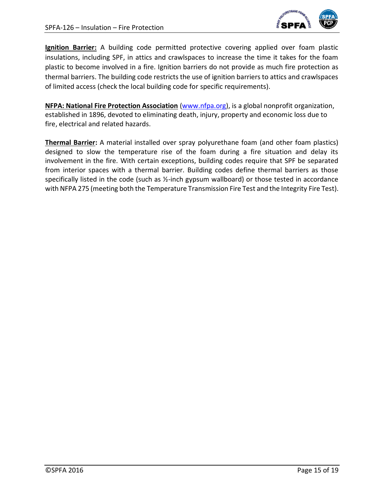

**Ignition Barrier:** A building code permitted protective covering applied over foam plastic insulations, including SPF, in attics and crawlspaces to increase the time it takes for the foam plastic to become involved in a fire. Ignition barriers do not provide as much fire protection as thermal barriers. The building code restricts the use of ignition barriers to attics and crawlspaces of limited access (check the local building code for specific requirements).

**NFPA: National Fire Protection Association** [\(www.nfpa.org\)](http://www.nfpa.org/), is a global nonprofit organization, established in 1896, devoted to eliminating death, injury, property and economic loss due to fire, electrical and related hazards.

**Thermal Barrier:** A material installed over spray polyurethane foam (and other foam plastics) designed to slow the temperature rise of the foam during a fire situation and delay its involvement in the fire. With certain exceptions, building codes require that SPF be separated from interior spaces with a thermal barrier. Building codes define thermal barriers as those specifically listed in the code (such as ½-inch gypsum wallboard) or those tested in accordance with NFPA 275 (meeting both the Temperature Transmission Fire Test and the Integrity Fire Test).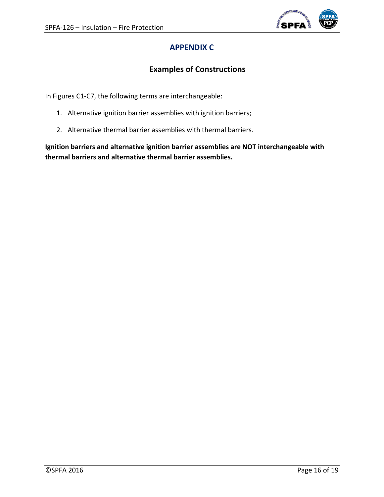

# **APPENDIX C**

# **Examples of Constructions**

<span id="page-15-0"></span>In Figures C1-C7, the following terms are interchangeable:

- 1. Alternative ignition barrier assemblies with ignition barriers;
- 2. Alternative thermal barrier assemblies with thermal barriers.

**Ignition barriers and alternative ignition barrier assemblies are NOT interchangeable with thermal barriers and alternative thermal barrier assemblies.**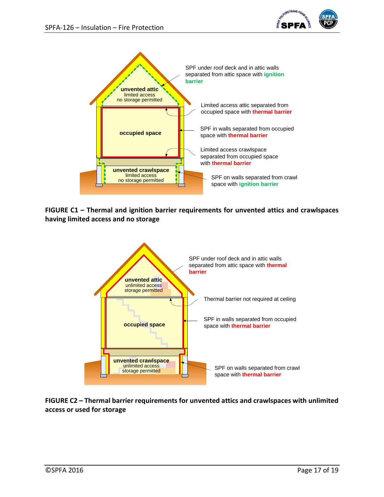



**FIGURE C1 – Thermal and ignition barrier requirements for unvented attics and crawlspaces having limited access and no storage**



**FIGURE C2 – Thermal barrier requirements for unvented attics and crawlspaces with unlimited access or used for storage**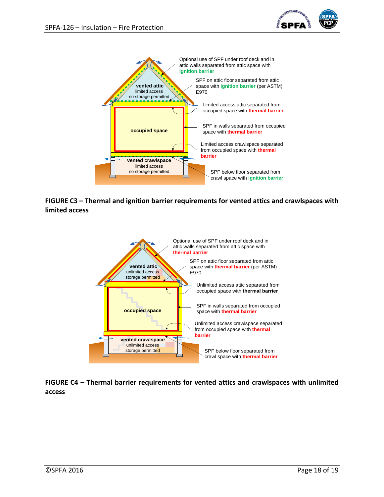



**FIGURE C3 – Thermal and ignition barrier requirements for vented attics and crawlspaces with limited access**



**FIGURE C4 – Thermal barrier requirements for vented attics and crawlspaces with unlimited access**